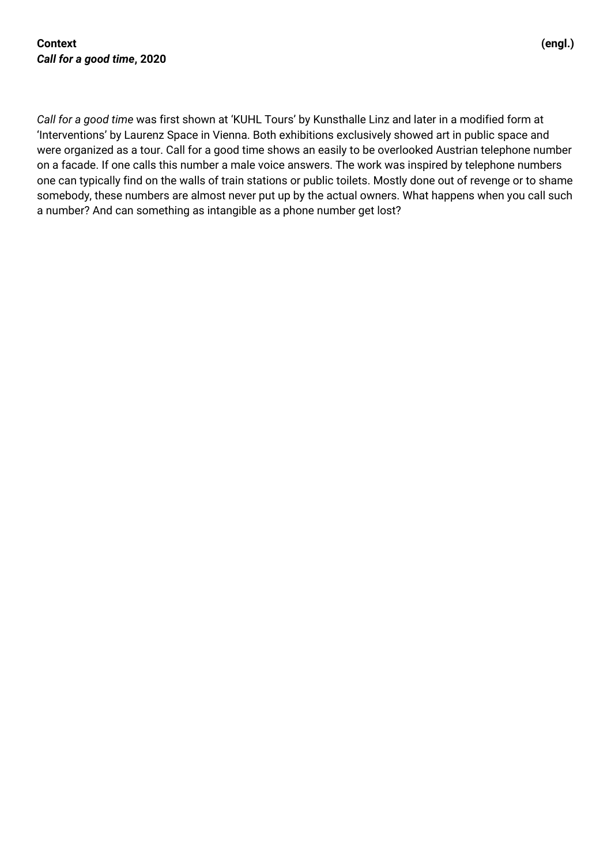*Call for a good time* was first shown at 'KUHL Tours' by Kunsthalle Linz and later in a modified form at 'Interventions' by Laurenz Space in Vienna. Both exhibitions exclusively showed art in public space and were organized as a tour. Call for a good time shows an easily to be overlooked Austrian telephone number on a facade. If one calls this number a male voice answers. The work was inspired by telephone numbers one can typically find on the walls of train stations or public toilets. Mostly done out of revenge or to shame somebody, these numbers are almost never put up by the actual owners. What happens when you call such a number? And can something as intangible as a phone number get lost?